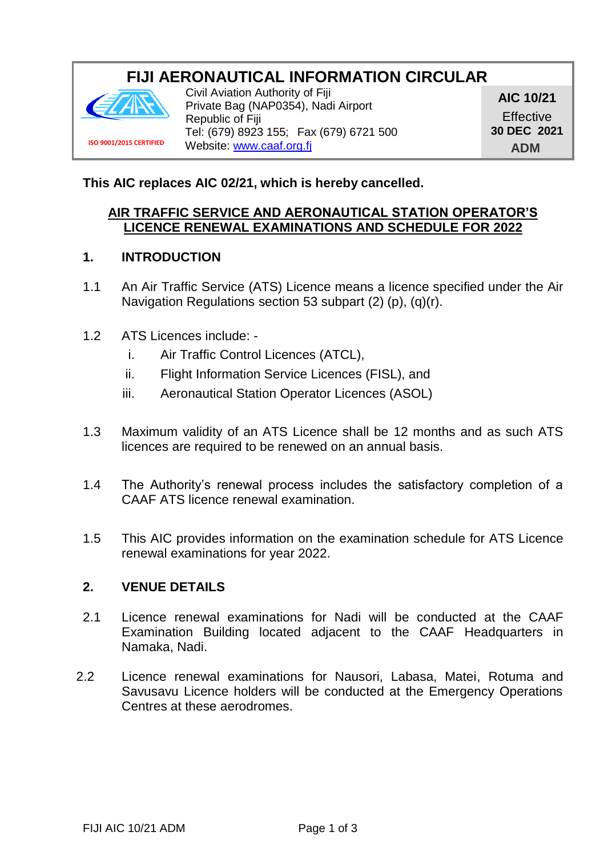# **FIJI AERONAUTICAL INFORMATION CIRCULAR**



**ISO 9001/2015 CERTIFIED**

Civil Aviation Authority of Fiji Private Bag (NAP0354), Nadi Airport Republic of Fiji Tel: (679) 8923 155; Fax (679) 6721 500 Website: [www.caaf.org.fj](http://www.caaf.org.fj/)

**AIC 10/21 Effective 30 DEC 2021 ADM**

**This AIC replaces AIC 02/21, which is hereby cancelled.**

#### **AIR TRAFFIC SERVICE AND AERONAUTICAL STATION OPERATOR'S LICENCE RENEWAL EXAMINATIONS AND SCHEDULE FOR 2022**

#### **1. INTRODUCTION**

- 1.1 An Air Traffic Service (ATS) Licence means a licence specified under the Air Navigation Regulations section 53 subpart (2) (p), (q)(r).
- 1.2 ATS Licences include:
	- i. Air Traffic Control Licences (ATCL),
	- ii. Flight Information Service Licences (FISL), and
	- iii. Aeronautical Station Operator Licences (ASOL)
- 1.3 Maximum validity of an ATS Licence shall be 12 months and as such ATS licences are required to be renewed on an annual basis.
- 1.4 The Authority's renewal process includes the satisfactory completion of a CAAF ATS licence renewal examination.
- 1.5 This AIC provides information on the examination schedule for ATS Licence renewal examinations for year 2022.

#### **2. VENUE DETAILS**

- 2.1 Licence renewal examinations for Nadi will be conducted at the CAAF Examination Building located adjacent to the CAAF Headquarters in Namaka, Nadi.
- 2.2 Licence renewal examinations for Nausori, Labasa, Matei, Rotuma and Savusavu Licence holders will be conducted at the Emergency Operations Centres at these aerodromes.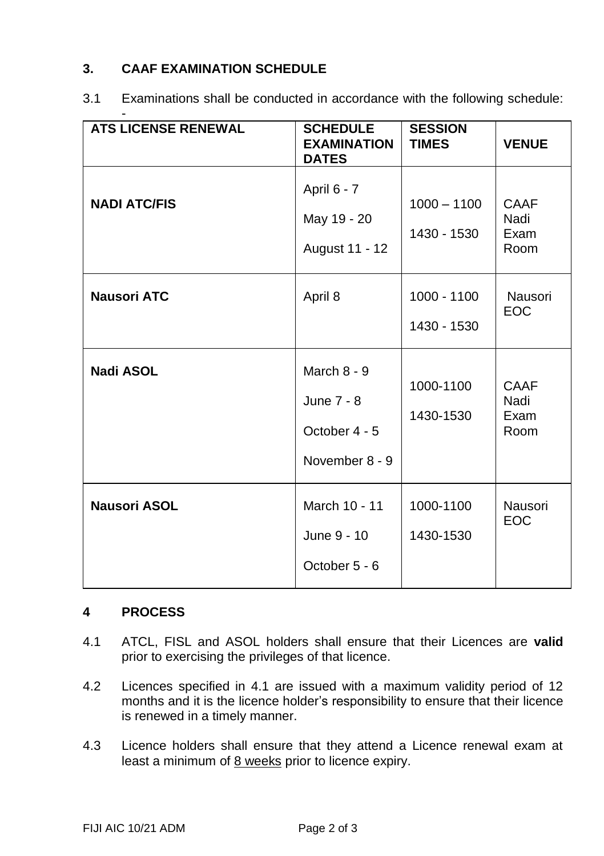## **3. CAAF EXAMINATION SCHEDULE**

| <b>ATS LICENSE RENEWAL</b> | <b>SCHEDULE</b><br><b>EXAMINATION</b><br><b>DATES</b>          | <b>SESSION</b><br><b>TIMES</b> | <b>VENUE</b>                 |
|----------------------------|----------------------------------------------------------------|--------------------------------|------------------------------|
| <b>NADI ATC/FIS</b>        | April 6 - 7<br>May 19 - 20<br>August 11 - 12                   | $1000 - 1100$<br>1430 - 1530   | CAAF<br>Nadi<br>Exam<br>Room |
| <b>Nausori ATC</b>         | April 8                                                        | 1000 - 1100<br>1430 - 1530     | Nausori<br><b>EOC</b>        |
| <b>Nadi ASOL</b>           | March $8 - 9$<br>June 7 - 8<br>October 4 - 5<br>November 8 - 9 | 1000-1100<br>1430-1530         | CAAF<br>Nadi<br>Exam<br>Room |
| <b>Nausori ASOL</b>        | March 10 - 11<br>June 9 - 10<br>October 5 - 6                  | 1000-1100<br>1430-1530         | Nausori<br><b>EOC</b>        |

3.1 Examinations shall be conducted in accordance with the following schedule:

### **4 PROCESS**

- 4.1 ATCL, FISL and ASOL holders shall ensure that their Licences are **valid** prior to exercising the privileges of that licence.
- 4.2 Licences specified in 4.1 are issued with a maximum validity period of 12 months and it is the licence holder's responsibility to ensure that their licence is renewed in a timely manner.
- 4.3 Licence holders shall ensure that they attend a Licence renewal exam at least a minimum of 8 weeks prior to licence expiry.